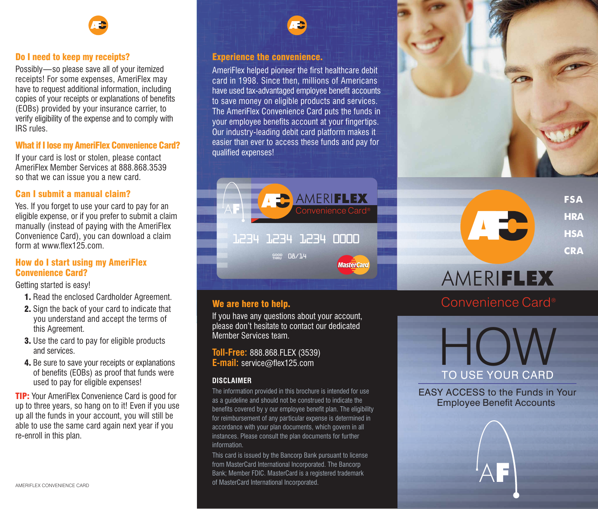# Do I need to keep my receipts?

Possibly—so please save all of your itemized receipts! For some expenses, AmeriFlex may have to request additional information, including copies of your receipts or explanations of benefits (EOBs) provided by your insurance carrier, to verify eligibility of the expense and to comply with IRS rules.

# What if I lose my AmeriFlex Convenience Card?

If your card is lost or stolen, please contact AmeriFlex Member Services at 888.868.3539 so that we can issue you a new card.

# Can I submit a manual claim?

Yes. If you forget to use your card to pay for an eligible expense, or if you prefer to submit a claim manually (instead of paying with the AmeriFlex Convenience Card), you can download a claim form at www.flex125.com.

# How do I start using my AmeriFlex Convenience Card?

Getting started is easy!

- 1. Read the enclosed Cardholder Agreement.
- 2. Sign the back of your card to indicate that you understand and accept the terms of this Agreement.
- 3. Use the card to pay for eligible products and services.
- 4. Be sure to save your receipts or explanations of benefits (EOBs) as proof that funds were used to pay for eligible expenses!

**TIP:** Your AmeriFlex Convenience Card is good for up to three years, so hang on to it! Even if you use up all the funds in your account, you will still be able to use the same card again next year if you re-enroll in this plan.

# Experience the convenience.

AmeriFlex helped pioneer the first healthcare debit card in 1998. Since then, millions of Americans have used tax-advantaged employee benefit accounts to save money on eligible products and services. The AmeriFlex Convenience Card puts the funds in your employee benefits account at your fingertips. Our industry-leading debit card platform makes it easier than ever to access these funds and pay for qualified expenses!



# We are here to help.

If you have any questions about your account, please don't hesitate to contact our dedicated Member Services team.

**Toll-Free:** 888.868.FLEX (3539) **E-mail:** service@flex125.com

# **DISCLAIMER**

The information provided in this brochure is intended for use as a guideline and should not be construed to indicate the benefits covered by y our employee benefit plan. The eligibility for reimbursement of any particular expense is determined in accordance with your plan documents, which govern in all instances. Please consult the plan documents for further information.

This card is issued by the Bancorp Bank pursuant to license from MasterCard International Incorporated. The Bancorp Bank; Member FDIC. MasterCard is a registered trademark of MasterCard International Incorporated.



# AMERIFLEX

**FSA HRA HSA CRA**

# Convenience Card®

TO USE YOUR CARD

EASY ACCESS to the Funds in Your Employee Benefit Accounts